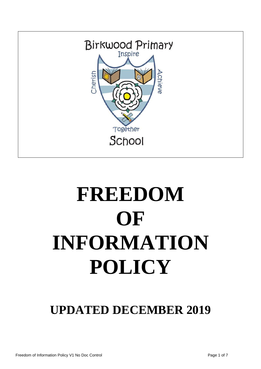

# **FREEDOM OF INFORMATION POLICY**

# **UPDATED DECEMBER 2019**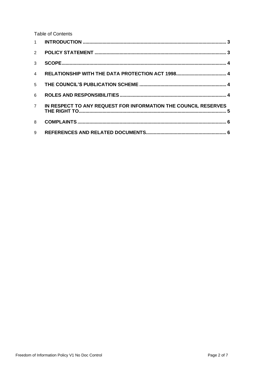**Table of Contents** 

| 3              |                                                                |
|----------------|----------------------------------------------------------------|
| $\overline{4}$ |                                                                |
| 5 <sup>1</sup> |                                                                |
| 6              |                                                                |
| $7^{\circ}$    | IN RESPECT TO ANY REQUEST FOR INFORMATION THE COUNCIL RESERVES |
| 8              |                                                                |
| 9              |                                                                |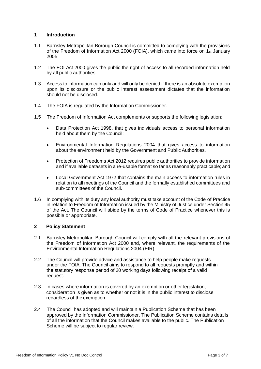### <span id="page-2-0"></span>**1 Introduction**

- 1.1 Barnsley Metropolitan Borough Council is committed to complying with the provisions of the Freedom of Information Act 2000 (FOIA), which came into force on 1st January 2005.
- 1.2 The FOI Act 2000 gives the public the right of access to all recorded information held by all public authorities.
- 1.3 Access to information can only and will only be denied if there is an absolute exemption upon its disclosure or the public interest assessment dictates that the information should not be disclosed.
- 1.4 The FOIA is regulated by the Information Commissioner.
- 1.5 The Freedom of Information Act complements or supports the following legislation:
	- Data Protection Act 1998, that gives individuals access to personal information held about them by the Council;
	- Environmental Information Regulations 2004 that gives access to information about the environment held by the Government and Public Authorities.
	- Protection of Freedoms Act 2012 requires public authorities to provide information and if available datasets in a re-usable format so far as reasonably practicable; and
	- Local Government Act 1972 that contains the main access to information rules in relation to all meetings of the Council and the formally established committees and sub-committees of the Council.
- 1.6 In complying with its duty any local authority must take account of the Code of Practice in relation to Freedom of Information issued by the Ministry of Justice under Section 45 of the Act. The Council will abide by the terms of Code of Practice whenever this is possible or appropriate.

#### <span id="page-2-1"></span>**2 Policy Statement**

- 2.1 Barnsley Metropolitan Borough Council will comply with all the relevant provisions of the Freedom of Information Act 2000 and, where relevant, the requirements of the Environmental Information Regulations 2004 (EIR).
- 2.2 The Council will provide advice and assistance to help people make requests under the FOIA. The Council aims to respond to all requests promptly and within the statutory response period of 20 working days following receipt of a valid request.
- 2.3 In cases where information is covered by an exemption or other legislation, consideration is given as to whether or not it is in the public interest to disclose regardless of the exemption.
- 2.4 The Council has adopted and will maintain a Publication Scheme that has been approved by the Information Commissioner. The Publication Scheme contains details of all the information that the Council makes available to the public. The Publication Scheme will be subject to regular review.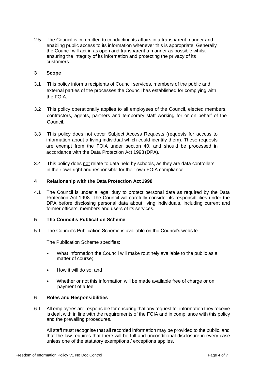2.5 The Council is committed to conducting its affairs in a transparent manner and enabling public access to its information whenever this is appropriate. Generally the Council will act in as open and transparent a manner as possible whilst ensuring the integrity of its information and protecting the privacy of its customers

#### <span id="page-3-0"></span>**3 Scope**

- 3.1 This policy informs recipients of Council services, members of the public and external parties of the processes the Council has established for complying with the FOIA.
- 3.2 This policy operationally applies to all employees of the Council, elected members, contractors, agents, partners and temporary staff working for or on behalf of the Council.
- 3.3 This policy does not cover Subject Access Requests (requests for access to information about a living individual which could identify them). These requests are exempt from the FOIA under section 40, and should be processed in accordance with the Data Protection Act 1998 (DPA).
- 3.4 This policy does not relate to data held by schools, as they are data controllers in their own right and responsible for their own FOIA compliance.

#### <span id="page-3-1"></span>**4 Relationship with the Data Protection Act 1998**

4.1 The Council is under a legal duty to protect personal data as required by the Data Protection Act 1998. The Council will carefully consider its responsibilities under the DPA before disclosing personal data about living individuals, including current and former officers, members and users of its services.

#### <span id="page-3-2"></span>**5 The Council's Publication Scheme**

5.1 The Council's Publication Scheme is available on the Council's website.

The Publication Scheme specifies:

- What information the Council will make routinely available to the public as a matter of course;
- How it will do so: and
- Whether or not this information will be made available free of charge or on payment of a fee

#### <span id="page-3-3"></span>**6 Roles and Responsibilities**

6.1 All employees are responsible for ensuring that any request for information they receive is dealt with in line with the requirements of the FOIA and in compliance with this policy and the prevailing procedures.

All staff must recognise that all recorded information may be provided to the public, and that the law requires that there will be full and unconditional disclosure in every case unless one of the statutory exemptions / exceptions applies.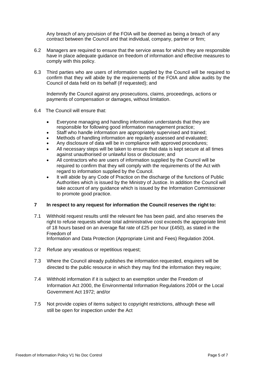Any breach of any provision of the FOIA will be deemed as being a breach of any contract between the Council and that individual, company, partner or firm;

- 6.2 Managers are required to ensure that the service areas for which they are responsible have in place adequate guidance on freedom of information and effective measures to comply with this policy.
- 6.3 Third parties who are users of information supplied by the Council will be required to confirm that they will abide by the requirements of the FOIA and allow audits by the Council of data held on its behalf (if requested); and

Indemnify the Council against any prosecutions, claims, proceedings, actions or payments of compensation or damages, without limitation.

- 6.4 The Council will ensure that:
	- Everyone managing and handling information understands that they are responsible for following good information management practice;
	- Staff who handle information are appropriately supervised and trained;
	- Methods of handling information are regularly assessed and evaluated;
	- Any disclosure of data will be in compliance with approved procedures;
	- All necessary steps will be taken to ensure that data is kept secure at all times against unauthorised or unlawful loss or disclosure; and
	- All contractors who are users of information supplied by the Council will be required to confirm that they will comply with the requirements of the Act with regard to information supplied by the Council.
	- It will abide by any Code of Practice on the discharge of the functions of Public Authorities which is issued by the Ministry of Justice. In addition the Council will take account of any guidance which is issued by the Information Commissioner to promote good practice.

## <span id="page-4-0"></span>**7 In respect to any request for information the Council reserves the right to:**

7.1 Withhold request results until the relevant fee has been paid, and also reserves the right to refuse requests whose total administrative cost exceeds the appropriate limit of 18 hours based on an average flat rate of £25 per hour (£450), as stated in the Freedom of

Information and Data Protection (Appropriate Limit and Fees) Regulation 2004.

- 7.2 Refuse any vexatious or repetitious request;
- 7.3 Where the Council already publishes the information requested, enquirers will be directed to the public resource in which they may find the information they require;
- 7.4 Withhold information if it is subject to an exemption under the Freedom of Information Act 2000, the Environmental Information Regulations 2004 or the Local Government Act 1972; and/or
- 7.5 Not provide copies of items subject to copyright restrictions, although these will still be open for inspection under the Act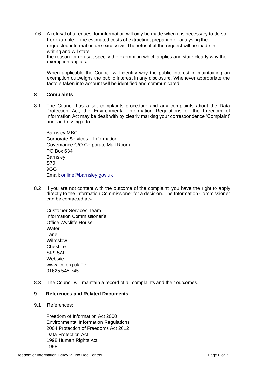7.6 A refusal of a request for information will only be made when it is necessary to do so. For example, if the estimated costs of extracting, preparing or analysing the requested information are excessive. The refusal of the request will be made in writing and will state the reason for refusal, specify the exemption which applies and state clearly why the exemption applies.

When applicable the Council will identify why the public interest in maintaining an exemption outweighs the public interest in any disclosure. Whenever appropriate the factors taken into account will be identified and communicated.

#### <span id="page-5-0"></span>**8 Complaints**

8.1 The Council has a set complaints procedure and any complaints about the Data Protection Act, the Environmental Information Regulations or the Freedom of Information Act may be dealt with by clearly marking your correspondence 'Complaint' and addressing it to:

Barnsley MBC Corporate Services – Information Governance C/O Corporate Mail Room PO Box 634 **Barnsley** S70 9GG Email: [online@barnsley.gov.uk](mailto:online@barnsley.gov.uk)

8.2 If you are not content with the outcome of the complaint, you have the right to apply directly to the Information Commissioner for a decision. The Information Commissioner can be contacted at:-

Customer Services Team Information Commissioner's Office Wycliffe House **Water** Lane Wilmslow **Cheshire** SK9 5AF Website: [www.ico.org.uk](http://www.ico.org.uk/) Tel: 01625 545 745

8.3 The Council will maintain a record of all complaints and their outcomes.

#### <span id="page-5-1"></span>**9 References and Related Documents**

9.1 References:

Freedom of Information Act 2000 Environmental Information Regulations 2004 Protection of Freedoms Act 2012 Data Protection Act 1998 Human Rights Act 1998